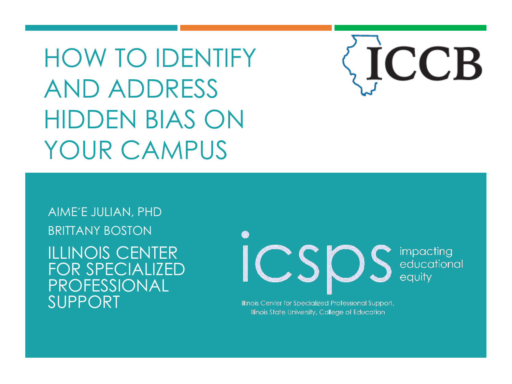HOW TO IDENTIFY AND ADDRESS HIDDEN BIAS ON YOUR CAMPUS



AIME´E JULIAN, PHD BRITTANY BOSTON ILLINOIS CENTER FOR SPECIALIZED PROFESSIONAL SUPPORT



Illinois Center for Specialized Professional Support, Illinois State University, College of Education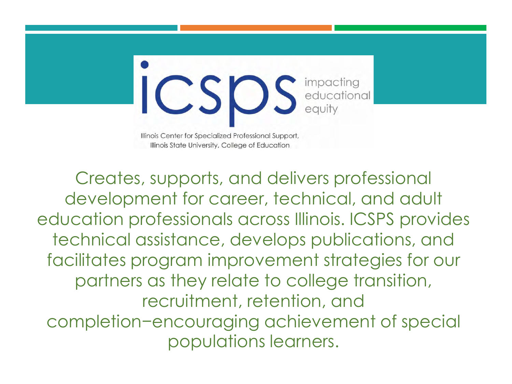

Illinois Center for Specialized Professional Support, Illinois State University, College of Education

Creates, supports, and delivers professional development for career, technical, and adult education professionals across Illinois. ICSPS provides technical assistance, develops publications, and facilitates program improvement strategies for our partners as they relate to college transition, recruitment, retention, and completion−encouraging achievement of special populations learners.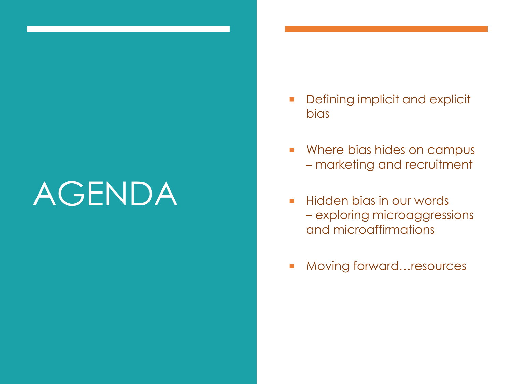# AGENDA

- **•** Defining implicit and explicit bias
- **Number 2018 Marken** Sides on campus – marketing and recruitment
- **Hidden bias in our words** – exploring microaggressions and microaffirmations
- Moving forward...resources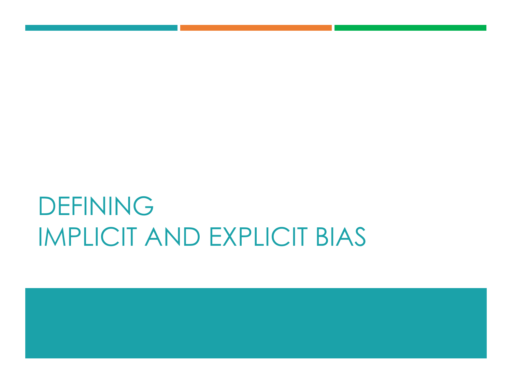## DEFINING IMPLICIT AND EXPLICIT BIAS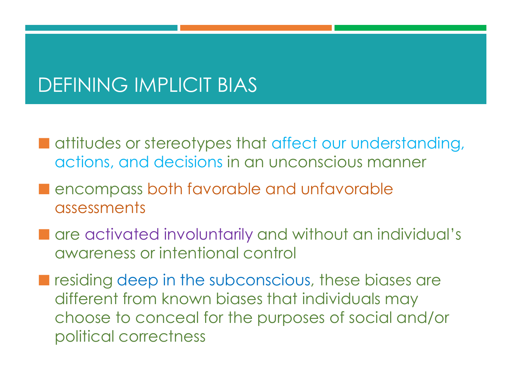## DEFINING IMPLICIT BIAS

- **n** attitudes or stereotypes that affect our understanding, actions, and decisions in an unconscious manner
- **E** encompass both favorable and unfavorable assessments
- **The activated involuntarily and without an individual's** awareness or intentional control
- **residing deep in the subconscious, these biases are** different from known biases that individuals may choose to conceal for the purposes of social and/or political correctness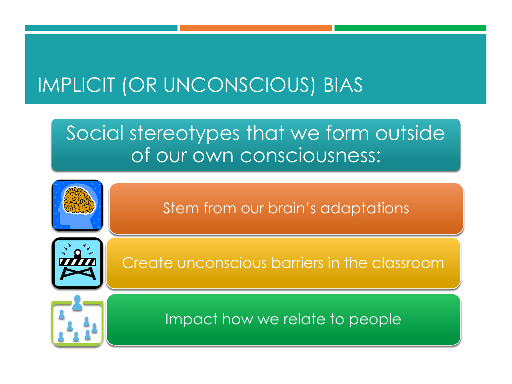## IMPLICIT (OR UNCONSCIOUS) BIAS

## Social stereotypes that we form outside of our own consciousness:





Create unconscious barriers in the classroom



Impact how we relate to people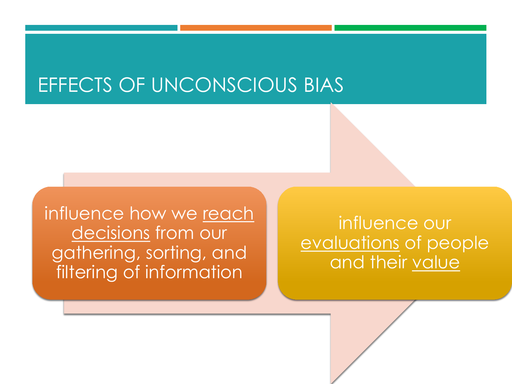## EFFECTS OF UNCONSCIOUS BIAS

influence how we reach decisions from our gathering, sorting, and filtering of information

influence our evaluations of people and their value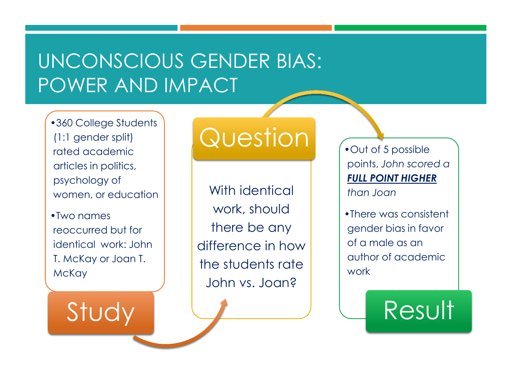## UNCONSCIOUS GENDER BIAS: POWER AND IMPACT

•360 College Students (1:1 gender split) rated academic articles in politics, psychology of women, or education

•Two names reoccurred but for identical work: John T. McKay or Joan T. **McKay** 

Study

## **Question**

With identical work, should there be any difference in how the students rate John vs. Joan?

•Out of 5 possible points, *John scored a FULL POINT HIGHER than Joan*

•There was consistent gender bias in favor of a male as an author of academic work

Result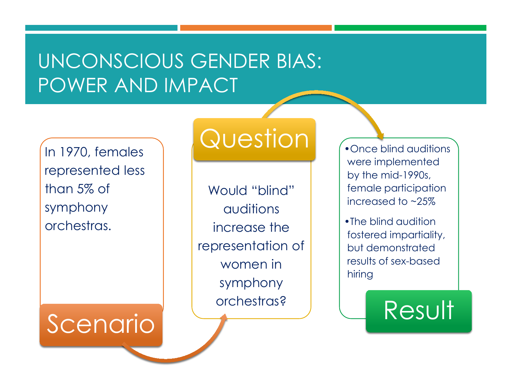## UNCONSCIOUS GENDER BIAS: POWER AND IMPACT

In 1970, females represented less than 5% of symphony orchestras.

**Scenario** 

## Question

Would "blind" auditions increase the representation of women in symphony orchestras?

•Once blind auditions were implemented by the mid-1990s, female participation increased to ~25%

•The blind audition fostered impartiality, but demonstrated results of sex-based hiring

## Result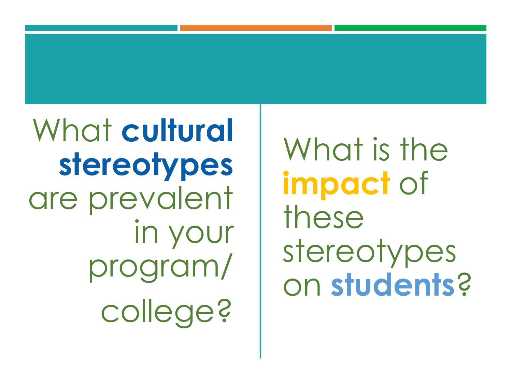What **cultural stereotypes**  are prevalent in your program/ college?

What is the **impact** of these stereotypes on **students**?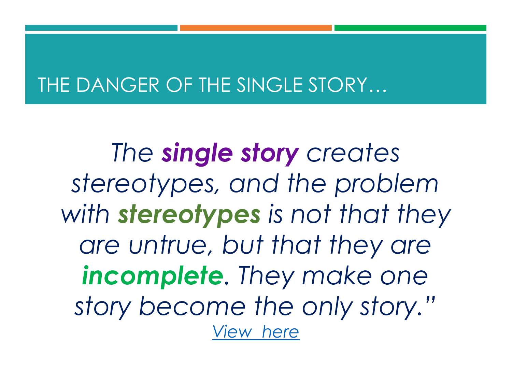## THE DANGER OF THE SINGLE STORY…

*The single story creates stereotypes, and the problem with stereotypes is not that they are untrue, but that they are incomplete. They make one story become the only story." [View](https://www.ted.com/talks/chimamanda_adichie_the_danger_of_a_single_story/transcript?language=en) here*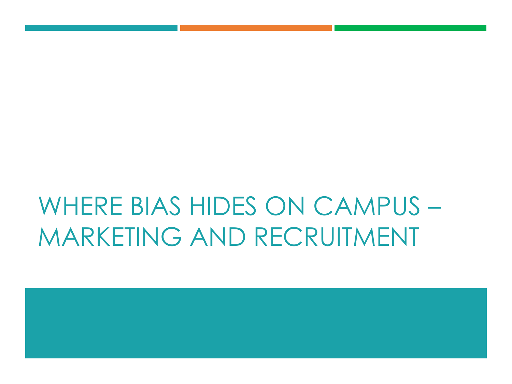## WHERE BIAS HIDES ON CAMPUS – MARKETING AND RECRUITMENT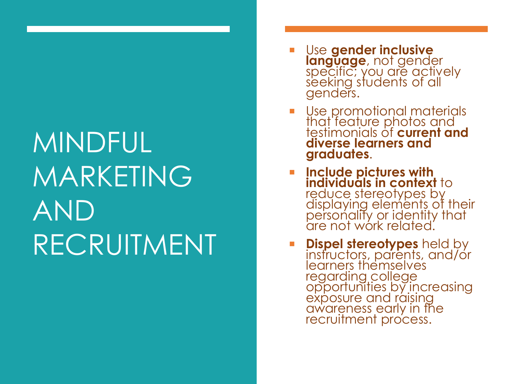# MINDFUL MARKETING AND RECRUITMENT

- Use **gender inclusive language**, not gender specific; you are actively seeking students of all genders.
- **Use promotional materials** that feature photos and testimonials of **current and diverse learners and graduates**.
- **Include pictures with individuals in context** to reduce stereotypes by displaying elements of their personality or identity that are not wórk related.
- **Dispel stereotypes** held by instructors, parents, and/or learners themselves regarding college opportunities by increasing exposure and raising awareness early in the recruitment process.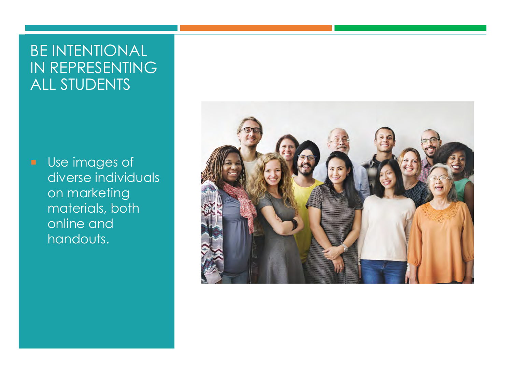#### BE INTENTIONAL IN REPRESENTING ALL STUDENTS

**Use images of** diverse individuals on marketing materials, both online and handouts.

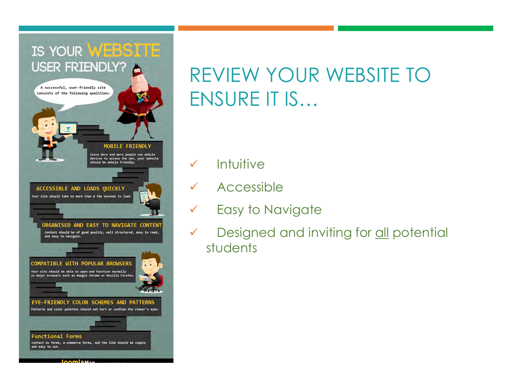

## REVIEW YOUR WEBSITE TO ENSURE IT IS…

 $\checkmark$  Intuitive

- $\checkmark$  Accessible
- $\checkmark$  Easy to Navigate
- $\checkmark$  Designed and inviting for all potential students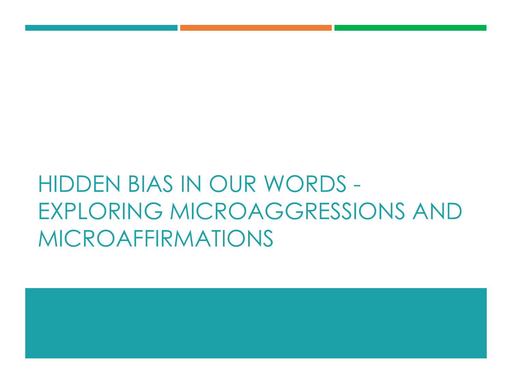## HIDDEN BIAS IN OUR WORDS - EXPLORING MICROAGGRESSIONS AND MICROAFFIRMATIONS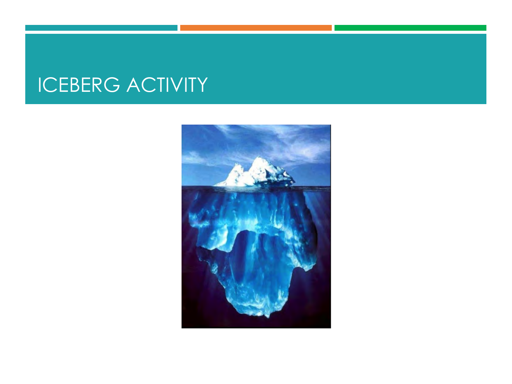## ICEBERG ACTIVITY

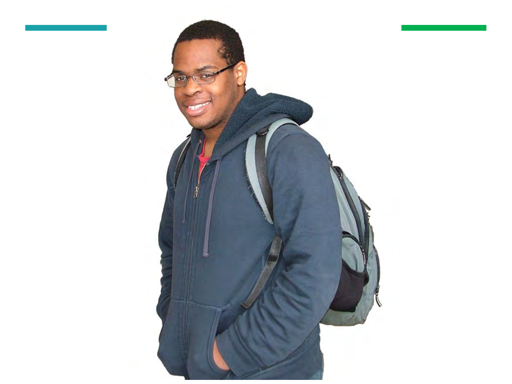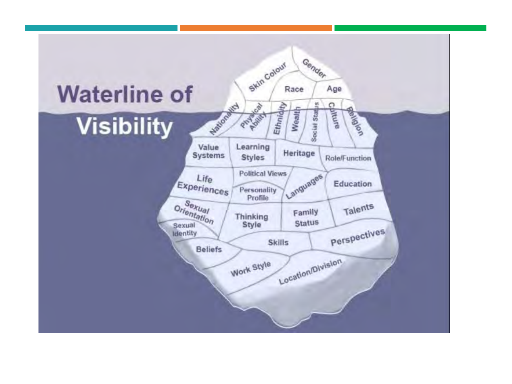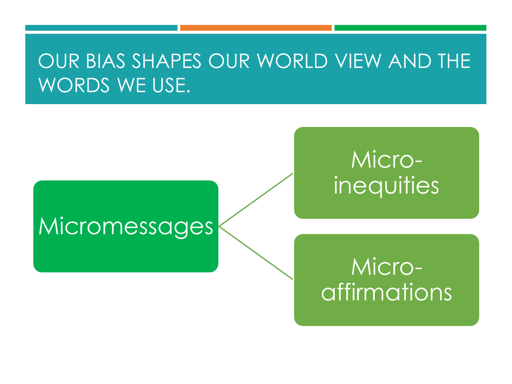### OUR BIAS SHAPES OUR WORLD VIEW AND THE WORDS WE USE.

## **Micromessages**

## Microinequities

Microaffirmations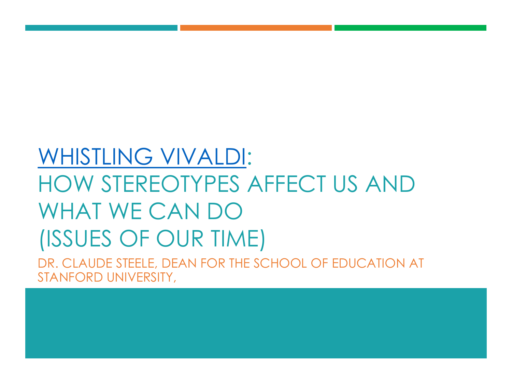## [WHISTLING VIVALDI:](https://www.youtube.com/watch?v=failylROnrY) HOW STEREOTYPES AFFECT US AND WHAT WE CAN DO (ISSUES OF OUR TIME) DR. CLAUDE STEELE, DEAN FOR THE SCHOOL OF EDUCATION AT

STANFORD UNIVERSITY,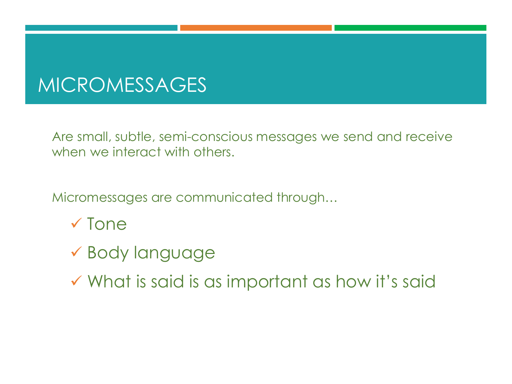## **MICROMESSAGES**

Are small, subtle, semi-conscious messages we send and receive when we interact with others.

Micromessages are communicated through…

- $\checkmark$  Tone
- Body language
- What is said is as important as how it's said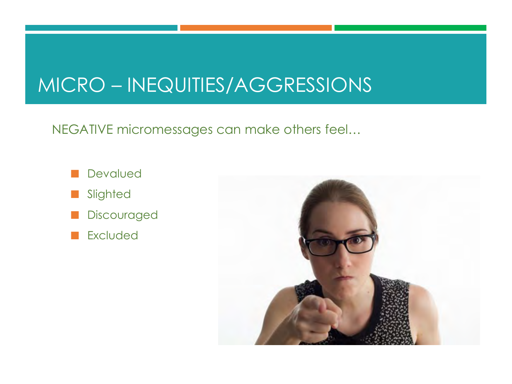## MICRO – INEQUITIES/AGGRESSIONS

NEGATIVE micromessages can make others feel…

- **Devalued**
- **Slighted**
- **Discouraged**
- Excluded

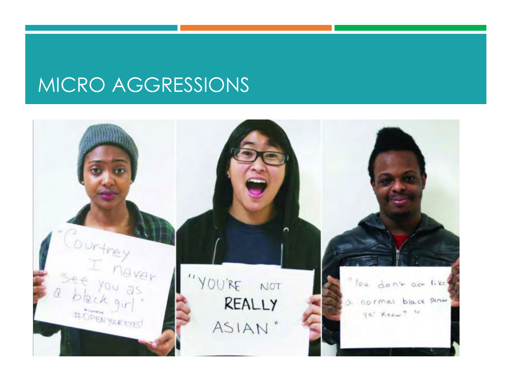## MICRO AGGRESSIONS

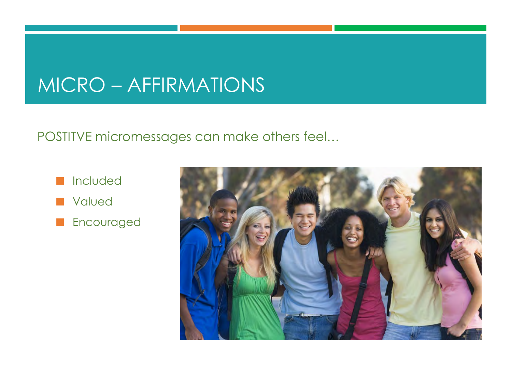## MICRO – AFFIRMATIONS

#### POSTITVE micromessages can make others feel…

**Included** 

**N** Valued

**Encouraged** 

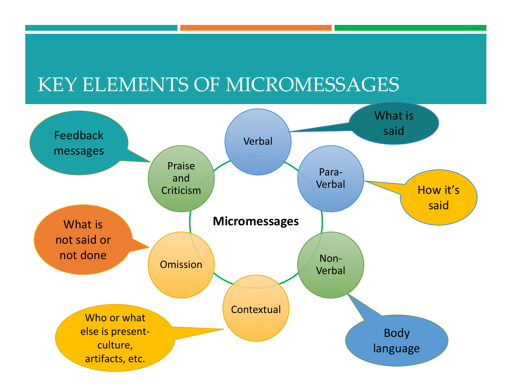#### KEY ELEMENTS OF MICROMESSAGES

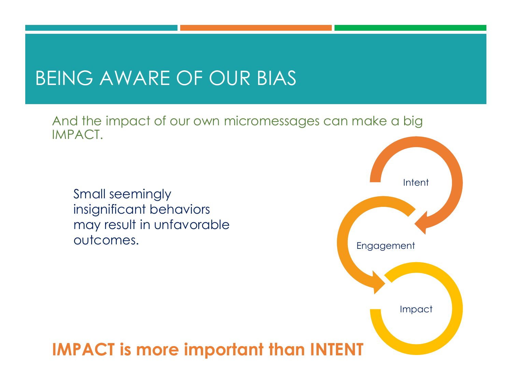## BEING AWARE OF OUR BIAS

And the impact of our own micromessages can make a big IMPACT.

Small seemingly insignificant behaviors may result in unfavorable outcomes.



**IMPACT is more important than INTENT**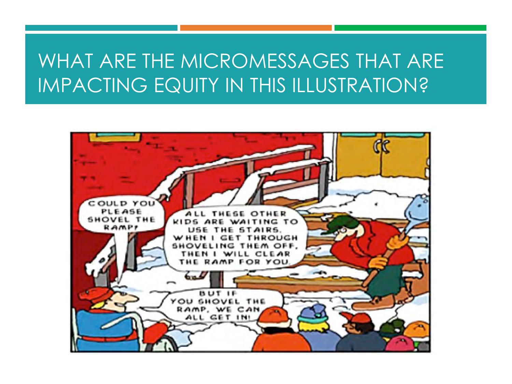## WHAT ARE THE MICROMESSAGES THAT ARE IMPACTING EQUITY IN THIS ILLUSTRATION?

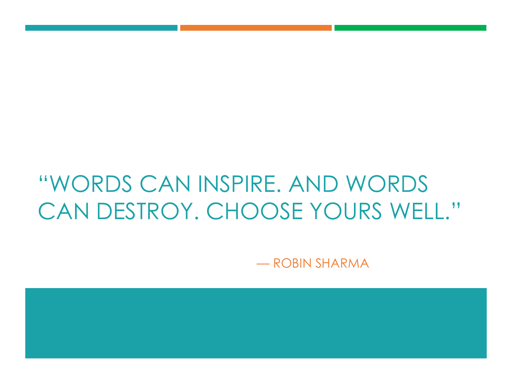## "WORDS CAN INSPIRE. AND WORDS CAN DESTROY. CHOOSE YOURS WELL."

— ROBIN SHARMA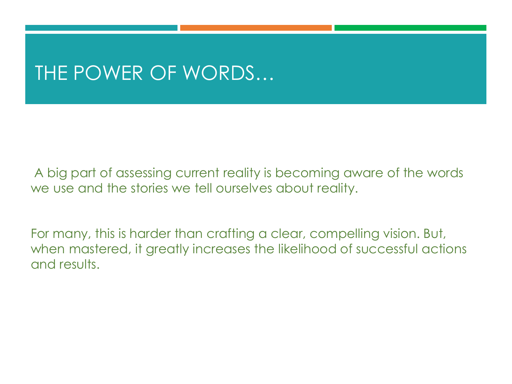#### THE POWER OF WORDS…

A big part of assessing current reality is becoming aware of the words we use and the stories we tell ourselves about reality.

For many, this is harder than crafting a clear, compelling vision. But, when mastered, it greatly increases the likelihood of successful actions and results.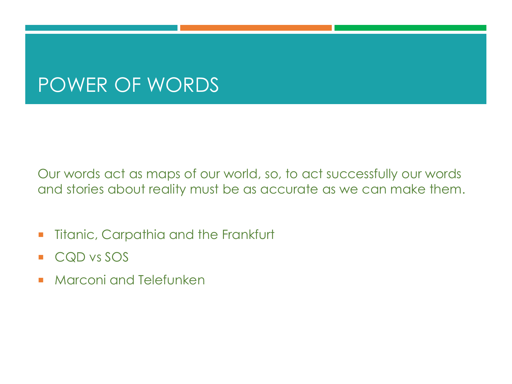## POWER OF WORDS

Our words act as maps of our world, so, to act successfully our words and stories about reality must be as accurate as we can make them.

- **Titanic, Carpathia and the Frankfurt**
- CQD vs SOS
- **Marconi and Telefunken**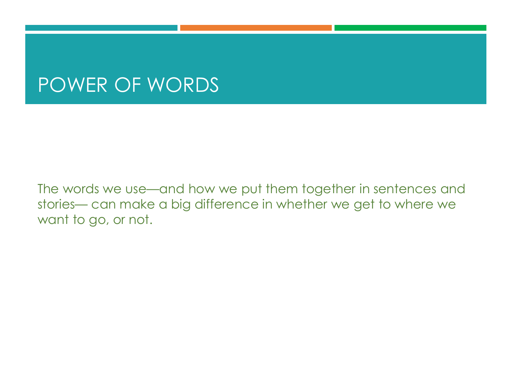## POWER OF WORDS

The words we use—and how we put them together in sentences and stories— can make a big difference in whether we get to where we want to go, or not.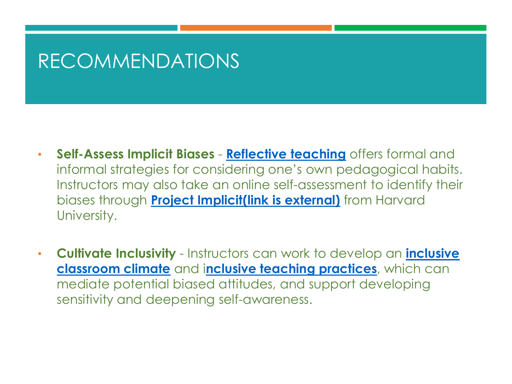#### RECOMMENDATIONS

- **Self-Assess Implicit Biases [Reflective teaching](https://ctl.yale.edu/ReflectiveTeaching)** offers formal and informal strategies for considering one's own pedagogical habits. Instructors may also take an online self-assessment to identify their biases through **[Project Implicit\(link is external\)](https://implicit.harvard.edu/implicit/takeatest.html)** from Harvard University.
- **Cultivate Inclusivity** [Instructors can work to develop an](https://ctl.yale.edu/ClassClimates) **inclusive classroom climate** and i**[nclusive teaching practices](https://ctl.yale.edu/InclusiveTeachingStrategies)**, which can mediate potential biased attitudes, and support developing sensitivity and deepening self-awareness.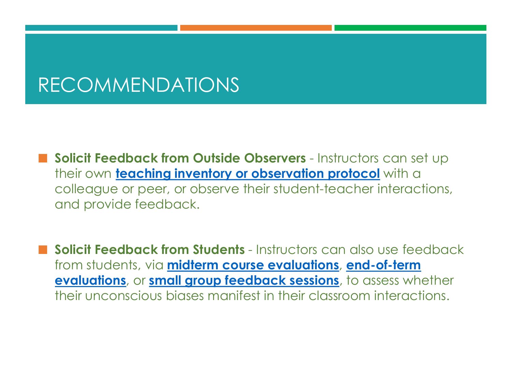#### RECOMMENDATIONS

- **Solicit Feedback from Outside Observers** Instructors can set up their own **[teaching inventory or observation protocol](https://ctl.yale.edu/Observation-Protocols-Teaching-Inventories)** with a colleague or peer, or observe their student-teacher interactions, and provide feedback.
- **Solicit Feedback from Students** Instructors can also use feedback from students, via **[midterm course evaluations](https://ctl.yale.edu/MidtermCourseEval)**, **end-of-term evaluations**, or **[small group feedback sessions](https://ctl.yale.edu/End-of-Term-Evals)**, to assess whether their unconscious biases manifest in their classroom interactions.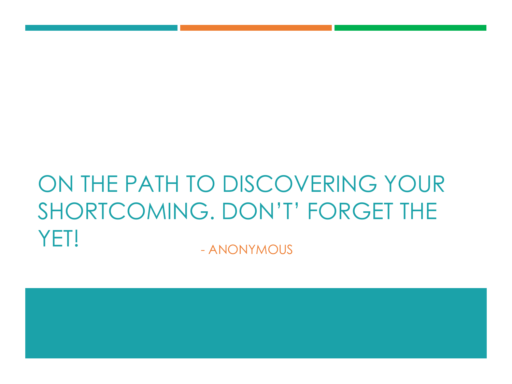## ON THE PATH TO DISCOVERING YOUR SHORTCOMING. DON'T' FORGET THE YET! - ANONYMOUS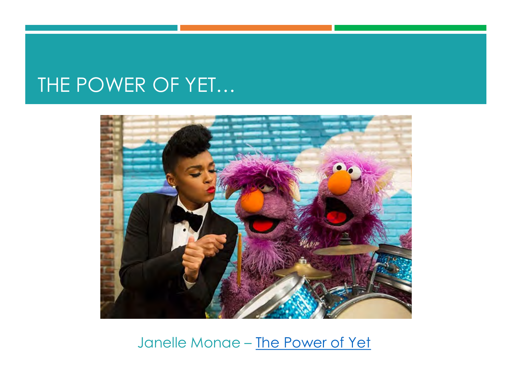#### THE POWER OF YET…



Janelle Monae - The [Power](https://www.youtube.com/watch?v=XLeUvZvuvAs) of Yet